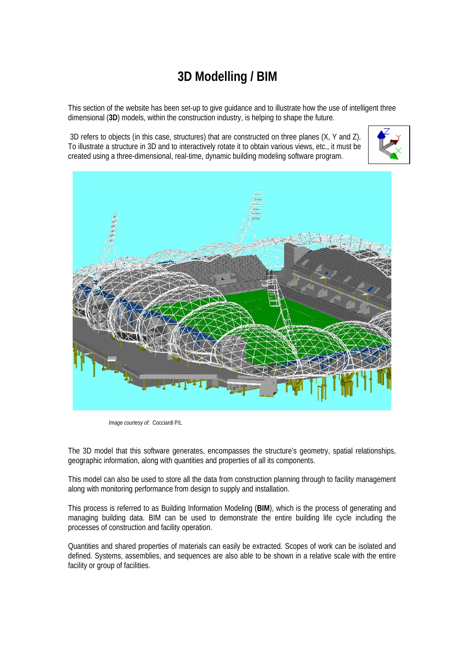## **3D Modelling / BIM**

This section of the website has been set-up to give guidance and to illustrate how the use of intelligent three dimensional (**3D**) models, within the construction industry, is helping to shape the future.

 3D refers to objects (in this case, structures) that are constructed on three planes (X, Y and Z). To illustrate a structure in 3D and to interactively rotate it to obtain various views, etc., it must be created using a three-dimensional, real-time, dynamic building modeling software program.





*Image courtesy of:* Cocciardi P/L

The 3D model that this software generates, encompasses the structure's geometry, spatial relationships, geographic information, along with quantities and properties of all its components.

This model can also be used to store all the data from construction planning through to facility management along with monitoring performance from design to supply and installation.

This process is referred to as Building Information Modeling (**BIM**), which is the process of generating and managing building data. BIM can be used to demonstrate the entire building life cycle including the processes of construction and facility operation.

Quantities and shared properties of materials can easily be extracted. Scopes of work can be isolated and defined. Systems, assemblies, and sequences are also able to be shown in a relative scale with the entire facility or group of facilities.